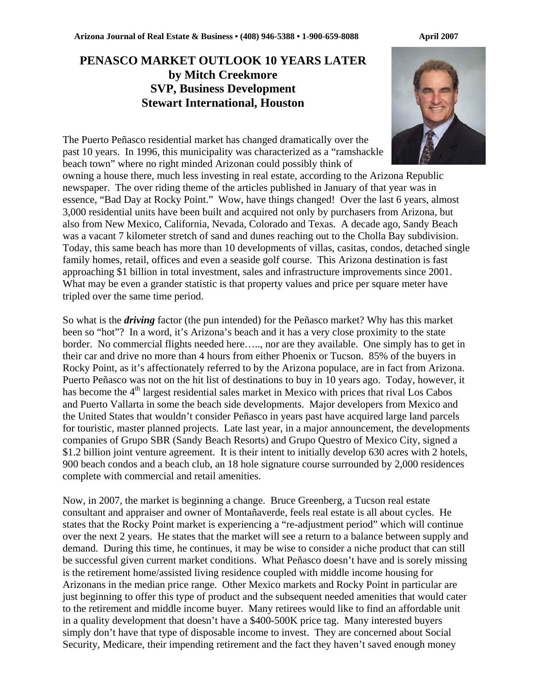## **PENASCO MARKET OUTLOOK 10 YEARS LATER by Mitch Creekmore SVP, Business Development Stewart International, Houston**



The Puerto Peñasco residential market has changed dramatically over the past 10 years. In 1996, this municipality was characterized as a "ramshackle beach town" where no right minded Arizonan could possibly think of

owning a house there, much less investing in real estate, according to the Arizona Republic newspaper. The over riding theme of the articles published in January of that year was in essence, "Bad Day at Rocky Point." Wow, have things changed! Over the last 6 years, almost 3,000 residential units have been built and acquired not only by purchasers from Arizona, but also from New Mexico, California, Nevada, Colorado and Texas. A decade ago, Sandy Beach was a vacant 7 kilometer stretch of sand and dunes reaching out to the Cholla Bay subdivision. Today, this same beach has more than 10 developments of villas, casitas, condos, detached single family homes, retail, offices and even a seaside golf course. This Arizona destination is fast approaching \$1 billion in total investment, sales and infrastructure improvements since 2001. What may be even a grander statistic is that property values and price per square meter have tripled over the same time period.

So what is the *driving* factor (the pun intended) for the Peñasco market? Why has this market been so "hot"? In a word, it's Arizona's beach and it has a very close proximity to the state border. No commercial flights needed here….., nor are they available. One simply has to get in their car and drive no more than 4 hours from either Phoenix or Tucson. 85% of the buyers in Rocky Point, as it's affectionately referred to by the Arizona populace, are in fact from Arizona. Puerto Peñasco was not on the hit list of destinations to buy in 10 years ago. Today, however, it has become the 4<sup>th</sup> largest residential sales market in Mexico with prices that rival Los Cabos and Puerto Vallarta in some the beach side developments. Major developers from Mexico and the United States that wouldn't consider Peñasco in years past have acquired large land parcels for touristic, master planned projects. Late last year, in a major announcement, the developments companies of Grupo SBR (Sandy Beach Resorts) and Grupo Questro of Mexico City, signed a \$1.2 billion joint venture agreement. It is their intent to initially develop 630 acres with 2 hotels, 900 beach condos and a beach club, an 18 hole signature course surrounded by 2,000 residences complete with commercial and retail amenities.

Now, in 2007, the market is beginning a change. Bruce Greenberg, a Tucson real estate consultant and appraiser and owner of Montañaverde, feels real estate is all about cycles. He states that the Rocky Point market is experiencing a "re-adjustment period" which will continue over the next 2 years. He states that the market will see a return to a balance between supply and demand. During this time, he continues, it may be wise to consider a niche product that can still be successful given current market conditions. What Peñasco doesn't have and is sorely missing is the retirement home/assisted living residence coupled with middle income housing for Arizonans in the median price range. Other Mexico markets and Rocky Point in particular are just beginning to offer this type of product and the subsequent needed amenities that would cater to the retirement and middle income buyer. Many retirees would like to find an affordable unit in a quality development that doesn't have a \$400-500K price tag. Many interested buyers simply don't have that type of disposable income to invest. They are concerned about Social Security, Medicare, their impending retirement and the fact they haven't saved enough money